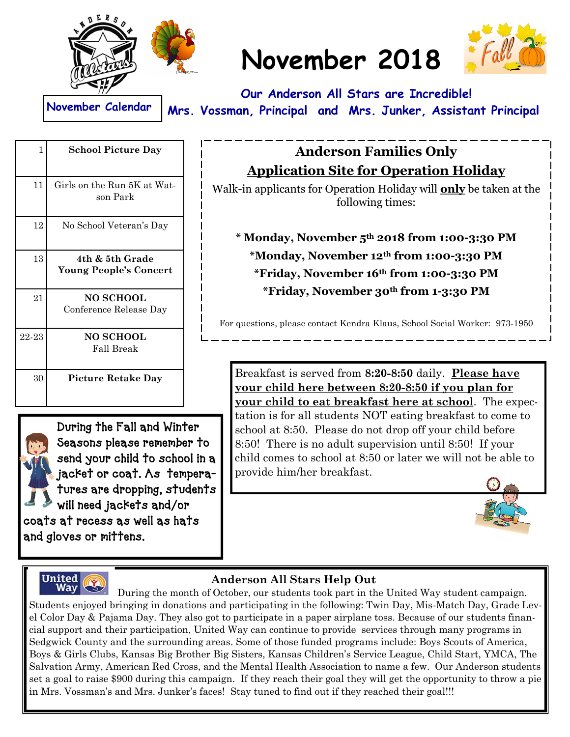





**Our Anderson All Stars are Incredible! Mrs. Vossman, Principal and Mrs. Junker, Assistant Principal**

| 1     | <b>School Picture Day</b>                        |
|-------|--------------------------------------------------|
| 11    | Girls on the Run 5K at Wat-<br>son Park          |
| 12    | No School Veteran's Day                          |
| 13    | 4th & 5th Grade<br><b>Young People's Concert</b> |
| 21    | <b>NO SCHOOL</b><br>Conference Release Day       |
| 22-23 | <b>NO SCHOOL</b><br>Fall Break                   |
| 30    | Picture Retake Day                               |

During the Fall and Winter Seasons please remember to send your child to school in a jacket or coat. As temperatures are dropping, students will need jackets and/or coats at recess as well as hats and gloves or mittens.

**United** 

## **Anderson Families Only Application Site for Operation Holiday**

Walk-in applicants for Operation Holiday will **only** be taken at the following times:

**\* Monday, November 5th 2018 from 1:00-3:30 PM \*Monday, November 12th from 1:00-3:30 PM \*Friday, November 16th from 1:00-3:30 PM \*Friday, November 30th from 1-3:30 PM**

For questions, please contact Kendra Klaus, School Social Worker: 973-1950

Breakfast is served from **8:20-8:50** daily. **Please have your child here between 8:20-8:50 if you plan for your child to eat breakfast here at school**. The expectation is for all students NOT eating breakfast to come to school at 8:50. Please do not drop off your child before 8:50! There is no adult supervision until 8:50! If your child comes to school at 8:50 or later we will not be able to provide him/her breakfast.



#### **Anderson All Stars Help Out**

During the month of October, our students took part in the United Way student campaign. Students enjoyed bringing in donations and participating in the following: Twin Day, Mis-Match Day, Grade Level Color Day & Pajama Day. They also got to participate in a paper airplane toss. Because of our students financial support and their participation, United Way can continue to provide services through many programs in Sedgwick County and the surrounding areas. Some of those funded programs include: Boys Scouts of America, Boys & Girls Clubs, Kansas Big Brother Big Sisters, Kansas Children's Service League, Child Start, YMCA, The Salvation Army, American Red Cross, and the Mental Health Association to name a few. Our Anderson students set a goal to raise \$900 during this campaign. If they reach their goal they will get the opportunity to throw a pie in Mrs. Vossman's and Mrs. Junker's faces! Stay tuned to find out if they reached their goal!!!